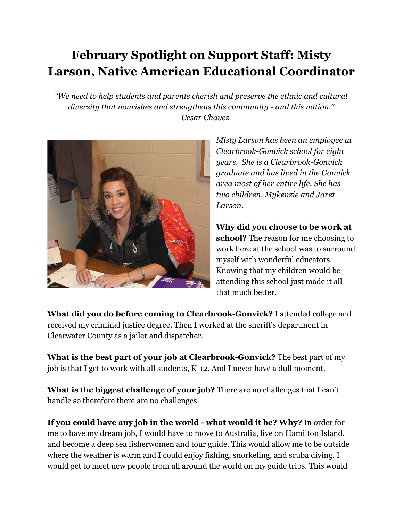## **February Spotlight on Support Staff: Misty Larson, Native American Educational Coordinator**

*"We need to help students and parents cherish and preserve the ethnic and cultural diversity that nourishes and strengthens this community - and this nation." — Cesar Chavez*



*Misty Larson has been an employee at Clearbrook-Gonvick school for eight years. She is a Clearbrook-Gonvick graduate and has lived in the Gonvick area most of her entire life. She has two children, Mykenzie and Jaret Larson.*

**Why did you choose to be work at school?** The reason for me choosing to work here at the school was to surround myself with wonderful educators. Knowing that my children would be attending this school just made it all that much better.

**What did you do before coming to Clearbrook-Gonvick?** I attended college and received my criminal justice degree. Then I worked at the sheriff's department in Clearwater County as a jailer and dispatcher.

**What is the best part of your job at Clearbrook-Gonvick?** The best part of my job is that I get to work with all students, K-12. And I never have a dull moment.

**What is the biggest challenge of your job?** There are no challenges that I can't handle so therefore there are no challenges.

**If you could have any job in the world - what would it be? Why?** In order for me to have my dream job, I would have to move to Australia, live on Hamilton Island, and become a deep sea fisherwomen and tour guide. This would allow me to be outside where the weather is warm and I could enjoy fishing, snorkeling, and scuba diving. I would get to meet new people from all around the world on my guide trips. This would